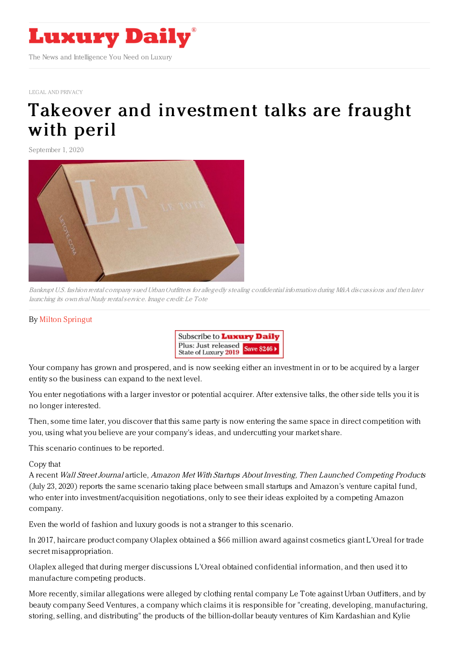

LEGAL AND [PRIVACY](https://www.luxurydaily.com/category/sectors/legal-and-privacy/)

## Takeover and [investment](https://www.luxurydaily.com/?p=312032) talks are fraught with peril

September 1, 2020



Bankrupt U.S. fashion rental company sued Urban Outfitters for allegedly stealing confidential information during M&A discussions and then later launching its own rival Nuuly rental service. Image credit: Le Tote

## By Milton [Springut](http://www.springutlaw.com)



Your company has grown and prospered, and is now seeking either an investment in or to be acquired by a larger entity so the business can expand to the next level.

You enter negotiations with a larger investor or potential acquirer. After extensive talks, the other side tells you it is no longer interested.

Then, some time later, you discover that this same party is now entering the same space in direct competition with you, using what you believe are your company's ideas, and undercutting your market share.

This scenario continues to be reported.

Copy that

A recent Wall Street Journal article, Amazon Met With Startups About Investing, Then Launched Competing Products (July 23, 2020) reports the same scenario taking place between small startups and Amazon's venture capital fund, who enter into investment/acquisition negotiations, only to see their ideas exploited by a competing Amazon company.

Even the world of fashion and luxury goods is not a stranger to this scenario.

In 2017, haircare product company Olaplex obtained a \$66 million award against cosmetics giant L'Oreal for trade secret misappropriation.

Olaplex alleged that during merger discussions L'Oreal obtained confidential information, and then used it to manufacture competing products.

More recently, similar allegations were alleged by clothing rental company Le Tote against Urban Outfitters, and by beauty company Seed Ventures, a company which claims it is responsible for "creating, developing, manufacturing, storing, selling, and distributing" the products of the billion-dollar beauty ventures of Kim Kardashian and Kylie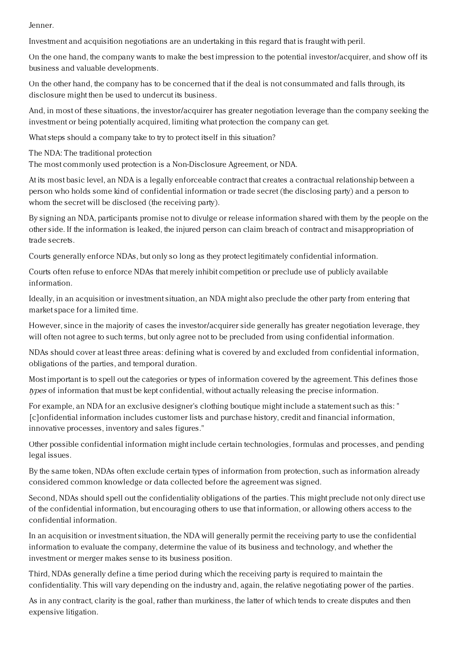## Jenner.

Investment and acquisition negotiations are an undertaking in this regard that is fraught with peril.

On the one hand, the company wants to make the best impression to the potential investor/acquirer, and show off its business and valuable developments.

On the other hand, the company has to be concerned that if the deal is not consummated and falls through, its disclosure might then be used to undercut its business.

And, in most of these situations, the investor/acquirer has greater negotiation leverage than the company seeking the investment or being potentially acquired, limiting what protection the company can get.

What steps should a company take to try to protect itself in this situation?

The NDA: The traditional protection

The most commonly used protection is a Non-Disclosure Agreement, or NDA.

At its most basic level, an NDA is a legally enforceable contract that creates a contractual relationship between a person who holds some kind of confidential information or trade secret (the disclosing party) and a person to whom the secret will be disclosed (the receiving party).

By signing an NDA, participants promise not to divulge or release information shared with them by the people on the other side. If the information is leaked, the injured person can claim breach of contract and misappropriation of trade secrets.

Courts generally enforce NDAs, but only so long as they protect legitimately confidential information.

Courts often refuse to enforce NDAs that merely inhibit competition or preclude use of publicly available information.

Ideally, in an acquisition or investment situation, an NDA might also preclude the other party from entering that market space for a limited time.

However, since in the majority of cases the investor/acquirer side generally has greater negotiation leverage, they will often not agree to such terms, but only agree not to be precluded from using confidential information.

NDAs should cover at least three areas: defining what is covered by and excluded from confidential information, obligations of the parties, and temporal duration.

Most important is to spell out the categories or types of information covered by the agreement. This defines those types of information that must be kept confidential, without actually releasing the precise information.

For example, an NDA for an exclusive designer's clothing boutique might include a statement such as this: " [c]onfidential information includes customer lists and purchase history, credit and financial information, innovative processes, inventory and sales figures."

Other possible confidential information might include certain technologies, formulas and processes, and pending legal issues.

By the same token, NDAs often exclude certain types of information from protection, such as information already considered common knowledge or data collected before the agreement was signed.

Second, NDAs should spell out the confidentiality obligations of the parties. This might preclude not only direct use of the confidential information, but encouraging others to use that information, or allowing others access to the confidential information.

In an acquisition or investment situation, the NDA will generally permit the receiving party to use the confidential information to evaluate the company, determine the value of its business and technology, and whether the investment or merger makes sense to its business position.

Third, NDAs generally define a time period during which the receiving party is required to maintain the confidentiality. This will vary depending on the industry and, again, the relative negotiating power of the parties.

As in any contract, clarity is the goal, rather than murkiness, the latter of which tends to create disputes and then expensive litigation.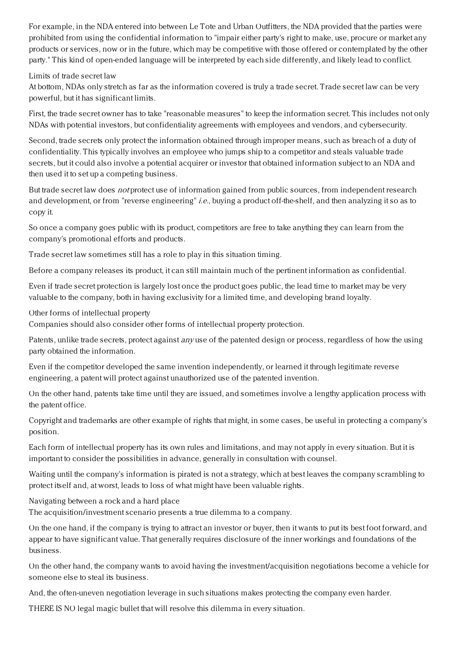For example, in the NDA entered into between Le Tote and Urban Outfitters, the NDA provided that the parties were prohibited from using the confidential information to "impair either party's right to make, use, procure or market any products or services, now or in the future, which may be competitive with those offered or contemplated by the other party." This kind of open-ended language will be interpreted by each side differently, and likely lead to conflict.

## Limits of trade secret law

At bottom, NDAs only stretch as far as the information covered is truly a trade secret. Trade secret law can be very powerful, but it has significant limits.

First, the trade secret owner has to take "reasonable measures" to keep the information secret. This includes not only NDAs with potential investors, but confidentiality agreements with employees and vendors, and cybersecurity.

Second, trade secrets only protect the information obtained through improper means, such as breach of a duty of confidentiality. This typically involves an employee who jumps ship to a competitor and steals valuable trade secrets, but it could also involve a potential acquirer or investor that obtained information subject to an NDA and then used it to set up a competing business.

But trade secret law does not protect use of information gained from public sources, from independent research and development, or from "reverse engineering" i.e., buying a product off-the-shelf, and then analyzing it so as to copy it.

So once a company goes public with its product, competitors are free to take anything they can learn from the company's promotional efforts and products.

Trade secret law sometimes still has a role to play in this situation timing.

Before a company releases its product, it can still maintain much of the pertinent information as confidential.

Even if trade secret protection is largely lost once the product goes public, the lead time to market may be very valuable to the company, both in having exclusivity for a limited time, and developing brand loyalty.

Other forms of intellectual property

Companies should also consider other forms of intellectual property protection.

Patents, unlike trade secrets, protect against *any* use of the patented design or process, regardless of how the using party obtained the information.

Even if the competitor developed the same invention independently, or learned it through legitimate reverse engineering, a patent will protect against unauthorized use of the patented invention.

On the other hand, patents take time until they are issued, and sometimes involve a lengthy application process with the patent office.

Copyright and trademarks are other example of rights that might, in some cases, be useful in protecting a company's position.

Each form of intellectual property has its own rules and limitations, and may not apply in every situation. But it is important to consider the possibilities in advance, generally in consultation with counsel.

Waiting until the company's information is pirated is not a strategy, which at best leaves the company scrambling to protect itself and, at worst, leads to loss of what might have been valuable rights.

Navigating between a rock and a hard place

The acquisition/investment scenario presents a true dilemma to a company.

On the one hand, if the company is trying to attract an investor or buyer, then it wants to put its best foot forward, and appear to have significant value. That generally requires disclosure of the inner workings and foundations of the business.

On the other hand, the company wants to avoid having the investment/acquisition negotiations become a vehicle for someone else to steal its business.

And, the often-uneven negotiation leverage in such situations makes protecting the company even harder.

THERE IS NO legal magic bullet that will resolve this dilemma in every situation.